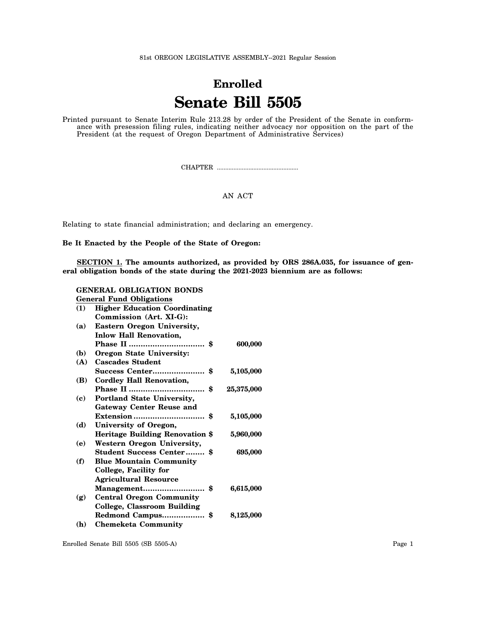81st OREGON LEGISLATIVE ASSEMBLY--2021 Regular Session

## **Enrolled Senate Bill 5505**

Printed pursuant to Senate Interim Rule 213.28 by order of the President of the Senate in conformance with presession filing rules, indicating neither advocacy nor opposition on the part of the President (at the request of Oregon Department of Administrative Services)

CHAPTER .................................................

## AN ACT

Relating to state financial administration; and declaring an emergency.

**Be It Enacted by the People of the State of Oregon:**

**SECTION 1. The amounts authorized, as provided by ORS 286A.035, for issuance of general obligation bonds of the state during the 2021-2023 biennium are as follows:**

## **GENERAL OBLIGATION BONDS General Fund Obligations**

|              | dellerar I und Obligations             |            |
|--------------|----------------------------------------|------------|
| (1)          | <b>Higher Education Coordinating</b>   |            |
|              | Commission (Art. XI-G):                |            |
| (a)          | <b>Eastern Oregon University,</b>      |            |
|              | <b>Inlow Hall Renovation,</b>          |            |
|              |                                        | 600,000    |
| ( <b>b</b> ) | <b>Oregon State University:</b>        |            |
| (A)          | <b>Cascades Student</b>                |            |
|              |                                        | 5,105,000  |
| ( <b>B</b> ) | <b>Cordley Hall Renovation,</b>        |            |
|              |                                        | 25,375,000 |
| (c)          | Portland State University,             |            |
|              | <b>Gateway Center Reuse and</b>        |            |
|              |                                        | 5,105,000  |
| (d)          | University of Oregon,                  |            |
|              | <b>Heritage Building Renovation \$</b> | 5,960,000  |
| (e)          | Western Oregon University,             |            |
|              | <b>Student Success Center \$</b>       | 695,000    |
| (f)          | <b>Blue Mountain Community</b>         |            |
|              | College, Facility for                  |            |
|              | <b>Agricultural Resource</b>           |            |
|              |                                        | 6,615,000  |
| (g)          | <b>Central Oregon Community</b>        |            |
|              | <b>College, Classroom Building</b>     |            |
|              | Redmond Campus\$                       | 8,125,000  |
| (h)          | <b>Chemeketa Community</b>             |            |
|              |                                        |            |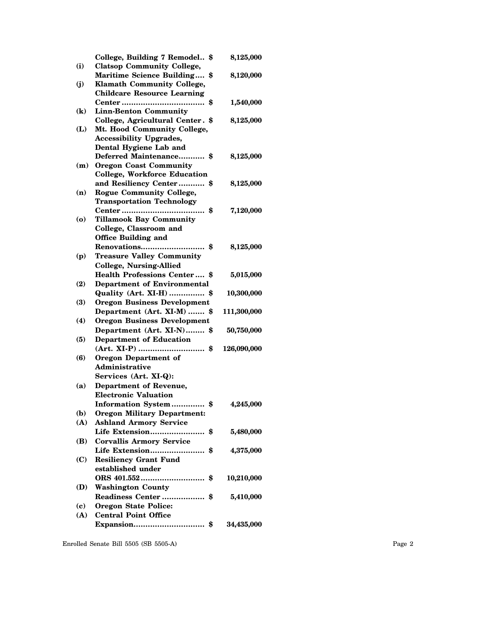| (i)                        | College, Building 7 Remodel \$<br><b>Clatsop Community College,</b> | 8,125,000   |
|----------------------------|---------------------------------------------------------------------|-------------|
|                            | <b>Maritime Science Building</b><br>\$                              | 8,120,000   |
| (j)                        | <b>Klamath Community College,</b>                                   |             |
|                            | <b>Childcare Resource Learning</b>                                  |             |
|                            | \$                                                                  | 1,540,000   |
| $\left( \mathbf{k}\right)$ | <b>Linn-Benton Community</b>                                        |             |
|                            | College, Agricultural Center. \$                                    | 8,125,000   |
| (L)                        | Mt. Hood Community College,                                         |             |
|                            | <b>Accessibility Upgrades,</b>                                      |             |
|                            | Dental Hygiene Lab and                                              |             |
|                            | Deferred Maintenance \$                                             | 8,125,000   |
| (m)                        | <b>Oregon Coast Community</b>                                       |             |
|                            | <b>College, Workforce Education</b>                                 |             |
|                            | and Resiliency Center \$                                            | 8,125,000   |
| (n)                        | <b>Rogue Community College,</b>                                     |             |
|                            | <b>Transportation Technology</b>                                    |             |
|                            | Center<br>\$                                                        | 7,120,000   |
| (o)                        | <b>Tillamook Bay Community</b>                                      |             |
|                            | College, Classroom and                                              |             |
|                            | <b>Office Building and</b>                                          |             |
|                            | Renovations<br>\$                                                   | 8,125,000   |
| (p)                        | <b>Treasure Valley Community</b>                                    |             |
|                            | <b>College, Nursing-Allied</b>                                      |             |
|                            | <b>Health Professions Center \$</b>                                 | 5,015,000   |
| (2)                        | <b>Department of Environmental</b>                                  |             |
|                            | Quality (Art. XI-H)  \$                                             | 10,300,000  |
| (3)                        | <b>Oregon Business Development</b>                                  |             |
|                            | Department (Art. XI-M)  \$                                          | 111,300,000 |
| (4)                        | <b>Oregon Business Development</b>                                  |             |
|                            | Department (Art. XI-N) \$                                           | 50,750,000  |
| (5)                        | <b>Department of Education</b>                                      |             |
|                            | (Art. XI-P)  \$                                                     | 126,090,000 |
| (6)                        | <b>Oregon Department of</b>                                         |             |
|                            | Administrative                                                      |             |
|                            | Services (Art. XI-Q):                                               |             |
| (a)                        | <b>Department of Revenue,</b>                                       |             |
|                            | <b>Electronic Valuation</b>                                         |             |
|                            | Information System \$                                               | 4,245,000   |
| (b)                        | <b>Oregon Military Department:</b>                                  |             |
| (A)                        | <b>Ashland Armory Service</b>                                       |             |
|                            | Life Extension \$                                                   | 5,480,000   |
| (B)                        | <b>Corvallis Armory Service</b>                                     |             |
|                            | Life Extension<br>\$                                                | 4,375,000   |
| (C)                        | <b>Resiliency Grant Fund</b>                                        |             |
|                            | established under                                                   |             |
|                            |                                                                     | 10,210,000  |
| (D)                        | <b>Washington County</b>                                            |             |
|                            | Readiness Center<br>\$                                              | 5,410,000   |
| (c)                        | <b>Oregon State Police:</b>                                         |             |
| (A)                        | <b>Central Point Office</b>                                         |             |
|                            | Expansion \$                                                        | 34,435,000  |
|                            |                                                                     |             |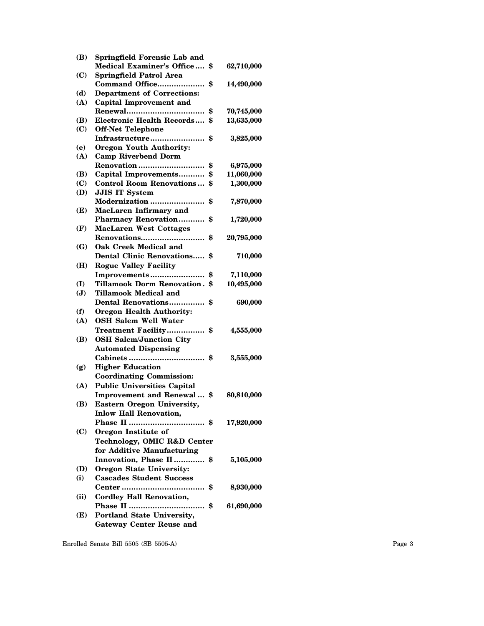| (B)            | Springfield Forensic Lab and                              |                  |
|----------------|-----------------------------------------------------------|------------------|
|                | <b>Medical Examiner's Office</b>                          | \$<br>62,710,000 |
| (C)            | <b>Springfield Patrol Area</b>                            |                  |
|                | Command Office                                            | \$<br>14,490,000 |
| (d)            | <b>Department of Corrections:</b>                         |                  |
| (A)            | <b>Capital Improvement and</b>                            |                  |
|                |                                                           | \$<br>70,745,000 |
| (B)            | <b>Electronic Health Records</b>                          | \$<br>13,635,000 |
| (C)            | <b>Off-Net Telephone</b>                                  |                  |
|                | Infrastructure                                            | \$<br>3,825,000  |
| (e)            | <b>Oregon Youth Authority:</b>                            |                  |
| (A)            | <b>Camp Riverbend Dorm</b>                                |                  |
|                | Renovation                                                | \$<br>6,975,000  |
| (B)            | Capital Improvements                                      | \$<br>11,060,000 |
| (C)            | <b>Control Room Renovations</b>                           | \$<br>1,300,000  |
| (D)            | <b>JJIS IT System</b>                                     |                  |
|                | Modernization                                             | \$<br>7,870,000  |
| (E)            | MacLaren Infirmary and                                    |                  |
|                | Pharmacy Renovation                                       | \$<br>1,720,000  |
| (F)            | <b>MacLaren West Cottages</b>                             |                  |
|                |                                                           | \$<br>20,795,000 |
| (G)            | <b>Oak Creek Medical and</b>                              |                  |
|                | <b>Dental Clinic Renovations</b>                          | \$<br>710,000    |
| (H)            | <b>Rogue Valley Facility</b>                              |                  |
|                | Improvements                                              | \$<br>7,110,000  |
| (I)            | <b>Tillamook Dorm Renovation.</b>                         | \$<br>10,495,000 |
| $(\mathbf{J})$ | <b>Tillamook Medical and</b>                              |                  |
|                | Dental Renovations                                        | \$<br>690,000    |
| (f)            | <b>Oregon Health Authority:</b>                           |                  |
| (A)            | <b>OSH Salem Well Water</b>                               |                  |
|                | <b>Treatment Facility</b>                                 | \$<br>4,555,000  |
| (B)            | <b>OSH Salem/Junction City</b>                            |                  |
|                | <b>Automated Dispensing</b>                               |                  |
|                |                                                           | \$<br>3,555,000  |
| (g)            | <b>Higher Education</b>                                   |                  |
|                | <b>Coordinating Commission:</b>                           |                  |
| (A)            | <b>Public Universities Capital</b>                        |                  |
|                | Improvement and Renewal                                   | \$<br>80,810,000 |
| (B)            | Eastern Oregon University,                                |                  |
|                | <b>Inlow Hall Renovation,</b>                             |                  |
|                |                                                           | 17,920,000       |
| (C)            | Oregon Institute of                                       |                  |
|                |                                                           |                  |
|                | Technology, OMIC R&D Center<br>for Additive Manufacturing |                  |
|                |                                                           |                  |
|                | Innovation, Phase II                                      | \$<br>5,105,000  |
| (D)            | Oregon State University:                                  |                  |
| (i)            | <b>Cascades Student Success</b>                           |                  |
|                |                                                           | \$<br>8,930,000  |
| (ii)           | <b>Cordley Hall Renovation,</b>                           |                  |
|                |                                                           | \$<br>61,690,000 |
| (E)            | Portland State University,                                |                  |
|                | <b>Gateway Center Reuse and</b>                           |                  |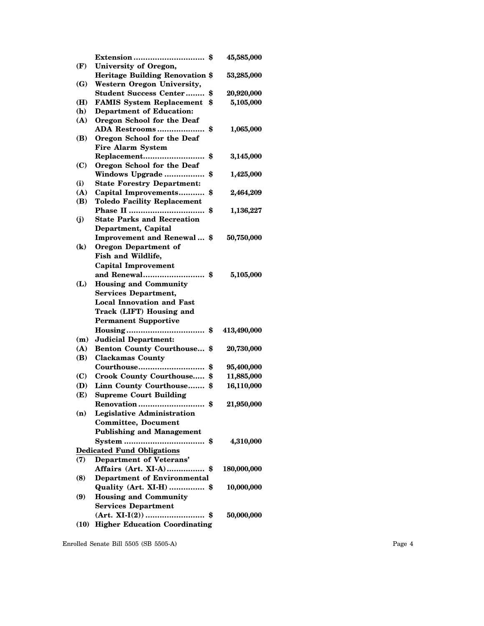|                            |                                        | 45,585,000       |
|----------------------------|----------------------------------------|------------------|
| (F)                        | University of Oregon,                  |                  |
|                            | <b>Heritage Building Renovation \$</b> | 53,285,000       |
| (G)                        | <b>Western Oregon University,</b>      |                  |
|                            | <b>Student Success Center</b>          | \$<br>20,920,000 |
| (H)                        | <b>FAMIS System Replacement</b>        | \$<br>5,105,000  |
| (h)                        | <b>Department of Education:</b>        |                  |
| (A)                        | Oregon School for the Deaf             |                  |
|                            | ADA Restrooms                          | \$<br>1,065,000  |
| (B)                        | Oregon School for the Deaf             |                  |
|                            | <b>Fire Alarm System</b>               |                  |
|                            | Replacement                            | \$<br>3,145,000  |
| (C)                        | Oregon School for the Deaf             |                  |
|                            | Windows Upgrade                        | \$<br>1,425,000  |
| (i)                        | <b>State Forestry Department:</b>      |                  |
| (A)                        | Capital Improvements                   | \$<br>2,464,209  |
| (B)                        | <b>Toledo Facility Replacement</b>     |                  |
|                            |                                        | \$<br>1,136,227  |
| $\mathbf{j}$               | <b>State Parks and Recreation</b>      |                  |
|                            | Department, Capital                    |                  |
|                            | Improvement and Renewal \$             | 50,750,000       |
| $\left( \mathbf{k}\right)$ | <b>Oregon Department of</b>            |                  |
|                            | Fish and Wildlife,                     |                  |
|                            | <b>Capital Improvement</b>             |                  |
|                            | and Renewal<br>. \$                    | 5,105,000        |
| (L)                        | <b>Housing and Community</b>           |                  |
|                            | <b>Services Department,</b>            |                  |
|                            | <b>Local Innovation and Fast</b>       |                  |
|                            | Track (LIFT) Housing and               |                  |
|                            | <b>Permanent Supportive</b>            |                  |
|                            | $Housing$ \$                           | 413,490,000      |
| (m)                        | <b>Judicial Department:</b>            |                  |
| (A)                        | <b>Benton County Courthouse \$</b>     | 20,730,000       |
| (B)                        | <b>Clackamas County</b>                |                  |
|                            | Courthouse                             | \$<br>95,400,000 |
| (C)                        | <b>Crook County Courthouse</b>         | \$<br>11,885,000 |
| (D)                        | Linn County Courthouse \$              | 16,110,000       |
| (E)                        | <b>Supreme Court Building</b>          |                  |
|                            | Renovation                             | \$<br>21,950,000 |
| (n)                        | <b>Legislative Administration</b>      |                  |
|                            | <b>Committee, Document</b>             |                  |
|                            | <b>Publishing and Management</b>       |                  |
|                            | System<br>                             | \$<br>4,310,000  |
|                            | <b>Dedicated Fund Obligations</b>      |                  |
| (7)                        | <b>Department of Veterans'</b>         |                  |
|                            | Affairs (Art. XI-A) \$                 | 180,000,000      |
| (8)                        | <b>Department of Environmental</b>     |                  |
|                            | Quality (Art. XI-H)  \$                | 10,000,000       |
| (9)                        | <b>Housing and Community</b>           |                  |
|                            | <b>Services Department</b>             |                  |
|                            | $(Art. XI-I(2))$ \$                    | 50,000,000       |
| (10)                       | <b>Higher Education Coordinating</b>   |                  |
|                            |                                        |                  |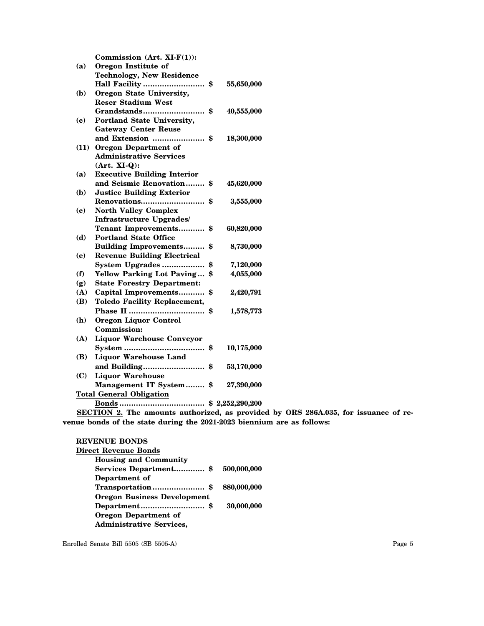|      | Commission $(Art. XI-F(1))$ :       |                  |
|------|-------------------------------------|------------------|
| (a)  | Oregon Institute of                 |                  |
|      | <b>Technology, New Residence</b>    |                  |
|      | Hall Facility  \$                   | 55,650,000       |
| (b)  | Oregon State University,            |                  |
|      | <b>Reser Stadium West</b>           |                  |
|      | <b>Grandstands</b><br>\$            | 40,555,000       |
| (c)  | Portland State University,          |                  |
|      | <b>Gateway Center Reuse</b>         |                  |
|      | and Extension  \$                   | 18,300,000       |
| (11) | <b>Oregon Department of</b>         |                  |
|      | <b>Administrative Services</b>      |                  |
|      | $(Art. XI-Q):$                      |                  |
| (a)  | <b>Executive Building Interior</b>  |                  |
|      | and Seismic Renovation              | \$<br>45,620,000 |
| (b)  | <b>Justice Building Exterior</b>    |                  |
|      | Renovations                         | \$<br>3,555,000  |
| (c)  | <b>North Valley Complex</b>         |                  |
|      | Infrastructure Upgrades/            |                  |
|      | <b>Tenant Improvements</b>          | \$<br>60,820,000 |
| (d)  | <b>Portland State Office</b>        |                  |
|      | Building Improvements \$            | 8,730,000        |
| (e)  | <b>Revenue Building Electrical</b>  |                  |
|      | System Upgrades                     | \$<br>7,120,000  |
| (f)  | <b>Yellow Parking Lot Paving</b>    | \$<br>4,055,000  |
| (g)  | <b>State Forestry Department:</b>   |                  |
| (A)  | Capital Improvements                | \$<br>2,420,791  |
| (B)  | <b>Toledo Facility Replacement,</b> |                  |
|      |                                     | \$<br>1,578,773  |
| (h)  | <b>Oregon Liquor Control</b>        |                  |
|      | Commission:                         |                  |
| (A)  | <b>Liquor Warehouse Conveyor</b>    |                  |
|      |                                     | 10,175,000       |
| (B)  | <b>Liquor Warehouse Land</b>        |                  |
|      | and Building\$                      | 53,170,000       |
| (C)  | <b>Liquor Warehouse</b>             |                  |
|      | Management IT System \$             | 27,390,000       |
|      | <b>Total General Obligation</b>     |                  |
|      |                                     |                  |

**SECTION 2. The amounts authorized, as provided by ORS 286A.035, for issuance of revenue bonds of the state during the 2021-2023 biennium are as follows:**

## **REVENUE BONDS**

| Direct Revenue Bonds               |             |
|------------------------------------|-------------|
| <b>Housing and Community</b>       |             |
| Services Department\$              | 500,000,000 |
| Department of                      |             |
|                                    | 880,000,000 |
| <b>Oregon Business Development</b> |             |
|                                    | 30,000,000  |
| <b>Oregon Department of</b>        |             |
| <b>Administrative Services,</b>    |             |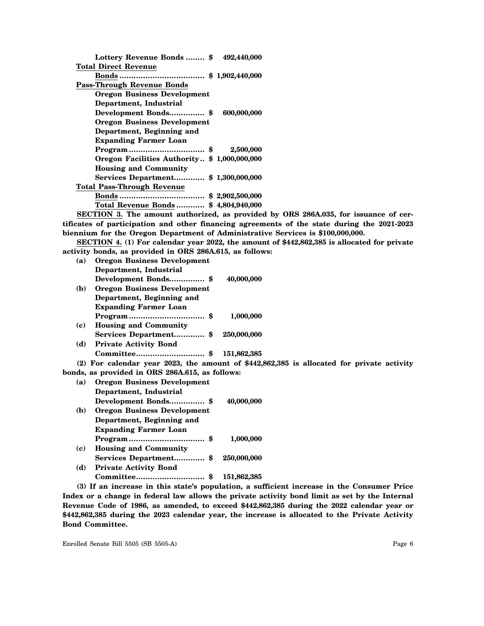| Lottery Revenue Bonds  \$                   | 492,440,000 |
|---------------------------------------------|-------------|
| <b>Total Direct Revenue</b>                 |             |
|                                             |             |
| <b>Pass-Through Revenue Bonds</b>           |             |
| <b>Oregon Business Development</b>          |             |
| Department, Industrial                      |             |
|                                             | 600,000,000 |
| <b>Oregon Business Development</b>          |             |
| Department, Beginning and                   |             |
| <b>Expanding Farmer Loan</b>                |             |
| Program\$                                   | 2,500,000   |
| Oregon Facilities Authority \$1,000,000,000 |             |
| <b>Housing and Community</b>                |             |
| Services Department\$ 1,300,000,000         |             |
| <b>Total Pass-Through Revenue</b>           |             |
|                                             |             |
| Total Revenue Bonds \$4,804,940,000         |             |
|                                             |             |

**SECTION 3. The amount authorized, as provided by ORS 286A.035, for issuance of certificates of participation and other financing agreements of the state during the 2021-2023 biennium for the Oregon Department of Administrative Services is \$100,000,000.**

**SECTION 4. (1) For calendar year 2022, the amount of \$442,862,385 is allocated for private activity bonds, as provided in ORS 286A.615, as follows:**

| (a) | <b>Oregon Business Development</b>                           |             |  |
|-----|--------------------------------------------------------------|-------------|--|
|     | Department, Industrial                                       |             |  |
|     | Development Bonds \$                                         | 40,000,000  |  |
| (b) | <b>Oregon Business Development</b>                           |             |  |
|     | Department, Beginning and                                    |             |  |
|     | <b>Expanding Farmer Loan</b>                                 |             |  |
|     |                                                              | 1,000,000   |  |
| (c) | <b>Housing and Community</b>                                 |             |  |
|     |                                                              | 250,000,000 |  |
| (d) | <b>Private Activity Bond</b>                                 |             |  |
|     |                                                              | 151,862,385 |  |
|     | $(2)$ For calendar year 2023, the amount of \$442,862,385 is |             |  |

**bonds, as provided in ORS 286A.615, as follows:**

| (a)                         | <b>Oregon Business Development</b>                      |             |
|-----------------------------|---------------------------------------------------------|-------------|
|                             | Department, Industrial                                  |             |
|                             | Development Bonds \$                                    | 40,000,000  |
| (b)                         | <b>Oregon Business Development</b>                      |             |
|                             | Department, Beginning and                               |             |
|                             | <b>Expanding Farmer Loan</b>                            |             |
|                             |                                                         | 1.000.000   |
| $\left( \mathbf{c} \right)$ | <b>Housing and Community</b>                            |             |
|                             | Services Department \$                                  | 250,000,000 |
| (d)                         | <b>Private Activity Bond</b>                            |             |
|                             |                                                         | 151,862,385 |
|                             | $(9)$ If an increase in this states proposition a suffi |             |

**(3) If an increase in this state's population, a sufficient increase in the Consumer Price Index or a change in federal law allows the private activity bond limit as set by the Internal Revenue Code of 1986, as amended, to exceed \$442,862,385 during the 2022 calendar year or \$442,862,385 during the 2023 calendar year, the increase is allocated to the Private Activity Bond Committee.**

Enrolled Senate Bill 5505 (SB 5505-A) Page 6

**(2) For calendar year 2023, the amount of \$442,862,385 is allocated for private activity**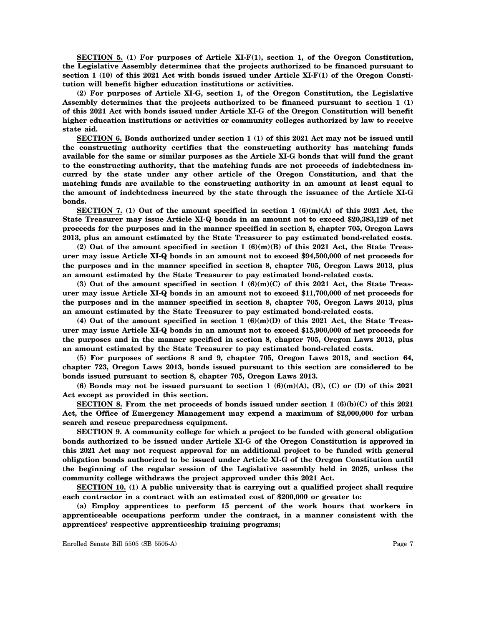**SECTION 5. (1) For purposes of Article XI-F(1), section 1, of the Oregon Constitution, the Legislative Assembly determines that the projects authorized to be financed pursuant to section 1 (10) of this 2021 Act with bonds issued under Article XI-F(1) of the Oregon Constitution will benefit higher education institutions or activities.**

**(2) For purposes of Article XI-G, section 1, of the Oregon Constitution, the Legislative Assembly determines that the projects authorized to be financed pursuant to section 1 (1) of this 2021 Act with bonds issued under Article XI-G of the Oregon Constitution will benefit higher education institutions or activities or community colleges authorized by law to receive state aid.**

**SECTION 6. Bonds authorized under section 1 (1) of this 2021 Act may not be issued until the constructing authority certifies that the constructing authority has matching funds available for the same or similar purposes as the Article XI-G bonds that will fund the grant to the constructing authority, that the matching funds are not proceeds of indebtedness incurred by the state under any other article of the Oregon Constitution, and that the matching funds are available to the constructing authority in an amount at least equal to the amount of indebtedness incurred by the state through the issuance of the Article XI-G bonds.**

**SECTION 7. (1) Out of the amount specified in section 1 (6)(m)(A) of this 2021 Act, the State Treasurer may issue Article XI-Q bonds in an amount not to exceed \$20,383,129 of net proceeds for the purposes and in the manner specified in section 8, chapter 705, Oregon Laws 2013, plus an amount estimated by the State Treasurer to pay estimated bond-related costs.**

**(2) Out of the amount specified in section 1 (6)(m)(B) of this 2021 Act, the State Treasurer may issue Article XI-Q bonds in an amount not to exceed \$94,500,000 of net proceeds for the purposes and in the manner specified in section 8, chapter 705, Oregon Laws 2013, plus an amount estimated by the State Treasurer to pay estimated bond-related costs.**

**(3) Out of the amount specified in section 1 (6)(m)(C) of this 2021 Act, the State Treasurer may issue Article XI-Q bonds in an amount not to exceed \$11,700,000 of net proceeds for the purposes and in the manner specified in section 8, chapter 705, Oregon Laws 2013, plus an amount estimated by the State Treasurer to pay estimated bond-related costs.**

**(4) Out of the amount specified in section 1 (6)(m)(D) of this 2021 Act, the State Treasurer may issue Article XI-Q bonds in an amount not to exceed \$15,900,000 of net proceeds for the purposes and in the manner specified in section 8, chapter 705, Oregon Laws 2013, plus an amount estimated by the State Treasurer to pay estimated bond-related costs.**

**(5) For purposes of sections 8 and 9, chapter 705, Oregon Laws 2013, and section 64, chapter 723, Oregon Laws 2013, bonds issued pursuant to this section are considered to be bonds issued pursuant to section 8, chapter 705, Oregon Laws 2013.**

**(6) Bonds may not be issued pursuant to section 1 (6)(m)(A), (B), (C) or (D) of this 2021 Act except as provided in this section.**

**SECTION 8. From the net proceeds of bonds issued under section 1 (6)(b)(C) of this 2021 Act, the Office of Emergency Management may expend a maximum of \$2,000,000 for urban search and rescue preparedness equipment.**

**SECTION 9. A community college for which a project to be funded with general obligation bonds authorized to be issued under Article XI-G of the Oregon Constitution is approved in this 2021 Act may not request approval for an additional project to be funded with general obligation bonds authorized to be issued under Article XI-G of the Oregon Constitution until the beginning of the regular session of the Legislative assembly held in 2025, unless the community college withdraws the project approved under this 2021 Act.**

**SECTION 10. (1) A public university that is carrying out a qualified project shall require each contractor in a contract with an estimated cost of \$200,000 or greater to:**

**(a) Employ apprentices to perform 15 percent of the work hours that workers in apprenticeable occupations perform under the contract, in a manner consistent with the apprentices' respective apprenticeship training programs;**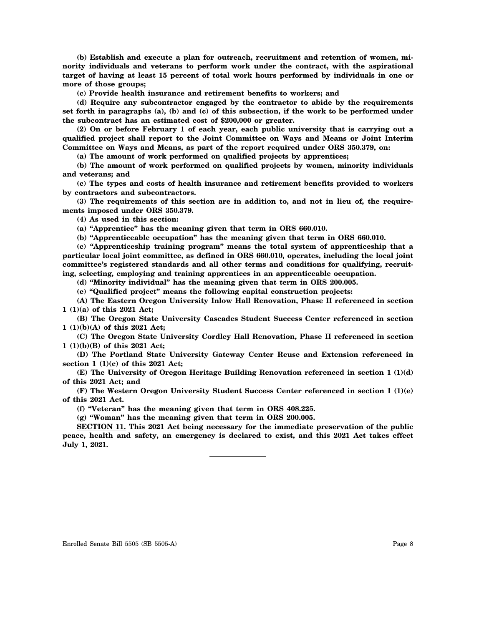**(b) Establish and execute a plan for outreach, recruitment and retention of women, minority individuals and veterans to perform work under the contract, with the aspirational target of having at least 15 percent of total work hours performed by individuals in one or more of those groups;**

**(c) Provide health insurance and retirement benefits to workers; and**

**(d) Require any subcontractor engaged by the contractor to abide by the requirements set forth in paragraphs (a), (b) and (c) of this subsection, if the work to be performed under the subcontract has an estimated cost of \$200,000 or greater.**

**(2) On or before February 1 of each year, each public university that is carrying out a qualified project shall report to the Joint Committee on Ways and Means or Joint Interim Committee on Ways and Means, as part of the report required under ORS 350.379, on:**

**(a) The amount of work performed on qualified projects by apprentices;**

**(b) The amount of work performed on qualified projects by women, minority individuals and veterans; and**

**(c) The types and costs of health insurance and retirement benefits provided to workers by contractors and subcontractors.**

**(3) The requirements of this section are in addition to, and not in lieu of, the requirements imposed under ORS 350.379.**

**(4) As used in this section:**

**(a) "Apprentice" has the meaning given that term in ORS 660.010.**

**(b) "Apprenticeable occupation" has the meaning given that term in ORS 660.010.**

**(c) "Apprenticeship training program" means the total system of apprenticeship that a particular local joint committee, as defined in ORS 660.010, operates, including the local joint committee's registered standards and all other terms and conditions for qualifying, recruiting, selecting, employing and training apprentices in an apprenticeable occupation.**

**(d) "Minority individual" has the meaning given that term in ORS 200.005.**

**(e) "Qualified project" means the following capital construction projects:**

**(A) The Eastern Oregon University Inlow Hall Renovation, Phase II referenced in section 1 (1)(a) of this 2021 Act;**

**(B) The Oregon State University Cascades Student Success Center referenced in section 1 (1)(b)(A) of this 2021 Act;**

**(C) The Oregon State University Cordley Hall Renovation, Phase II referenced in section 1 (1)(b)(B) of this 2021 Act;**

**(D) The Portland State University Gateway Center Reuse and Extension referenced in section 1 (1)(c) of this 2021 Act;**

**(E) The University of Oregon Heritage Building Renovation referenced in section 1 (1)(d) of this 2021 Act; and**

**(F) The Western Oregon University Student Success Center referenced in section 1 (1)(e) of this 2021 Act.**

**(f) "Veteran" has the meaning given that term in ORS 408.225.**

**(g) "Woman" has the meaning given that term in ORS 200.005.**

**SECTION 11. This 2021 Act being necessary for the immediate preservation of the public peace, health and safety, an emergency is declared to exist, and this 2021 Act takes effect July 1, 2021.**